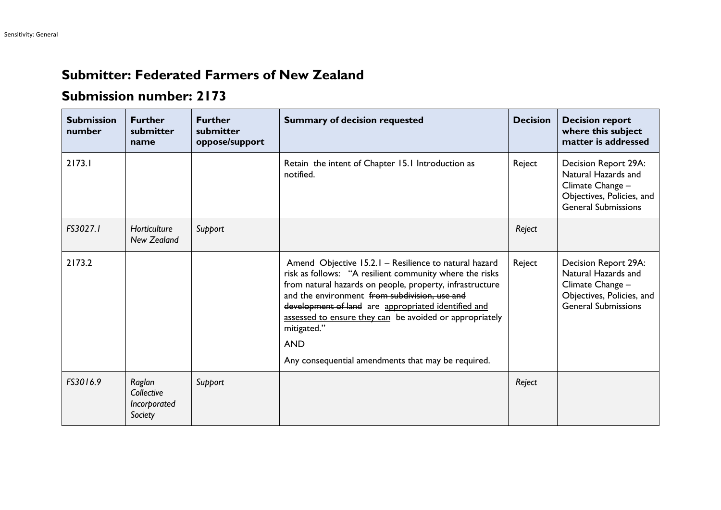## **Submitter: Federated Farmers of New Zealand**

## **Submission number: 2173**

| <b>Submission</b><br>number | <b>Further</b><br>submitter<br>name             | <b>Further</b><br>submitter<br>oppose/support | <b>Summary of decision requested</b>                                                                                                                                                                                                                                                                                                                                                                                               | <b>Decision</b> | <b>Decision report</b><br>where this subject<br>matter is addressed                                                        |
|-----------------------------|-------------------------------------------------|-----------------------------------------------|------------------------------------------------------------------------------------------------------------------------------------------------------------------------------------------------------------------------------------------------------------------------------------------------------------------------------------------------------------------------------------------------------------------------------------|-----------------|----------------------------------------------------------------------------------------------------------------------------|
| 2173.1                      |                                                 |                                               | Retain the intent of Chapter 15.1 Introduction as<br>notified.                                                                                                                                                                                                                                                                                                                                                                     | Reject          | Decision Report 29A:<br>Natural Hazards and<br>Climate Change -<br>Objectives, Policies, and<br><b>General Submissions</b> |
| FS3027.1                    | Horticulture<br>New Zealand                     | Support                                       |                                                                                                                                                                                                                                                                                                                                                                                                                                    | Reject          |                                                                                                                            |
| 2173.2                      |                                                 |                                               | Amend Objective 15.2.1 - Resilience to natural hazard<br>risk as follows: "A resilient community where the risks<br>from natural hazards on people, property, infrastructure<br>and the environment from subdivision, use and<br>development of land are appropriated identified and<br>assessed to ensure they can be avoided or appropriately<br>mitigated."<br><b>AND</b><br>Any consequential amendments that may be required. | Reject          | Decision Report 29A:<br>Natural Hazards and<br>Climate Change -<br>Objectives, Policies, and<br><b>General Submissions</b> |
| FS3016.9                    | Raglan<br>Collective<br>Incorporated<br>Society | Support                                       |                                                                                                                                                                                                                                                                                                                                                                                                                                    | Reject          |                                                                                                                            |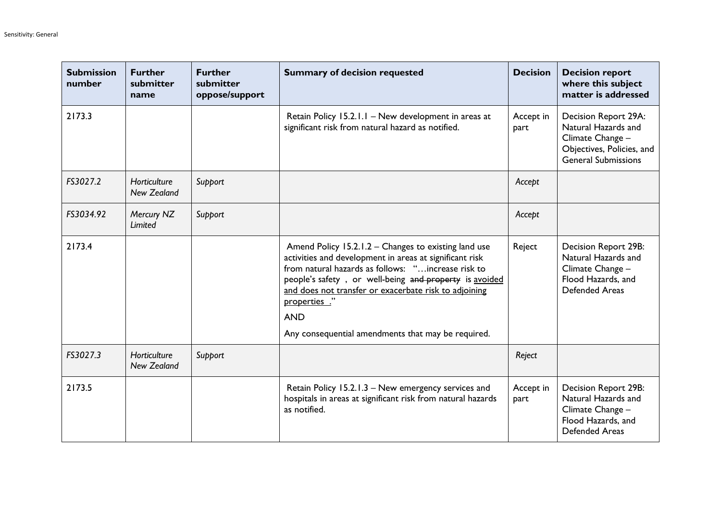| <b>Submission</b><br>number | <b>Further</b><br>submitter<br>name | <b>Further</b><br>submitter<br>oppose/support | <b>Summary of decision requested</b>                                                                                                                                                                                                                                                                                                                                         | <b>Decision</b>   | <b>Decision report</b><br>where this subject<br>matter is addressed                                                        |
|-----------------------------|-------------------------------------|-----------------------------------------------|------------------------------------------------------------------------------------------------------------------------------------------------------------------------------------------------------------------------------------------------------------------------------------------------------------------------------------------------------------------------------|-------------------|----------------------------------------------------------------------------------------------------------------------------|
| 2173.3                      |                                     |                                               | Retain Policy 15.2.1.1 - New development in areas at<br>significant risk from natural hazard as notified.                                                                                                                                                                                                                                                                    | Accept in<br>part | Decision Report 29A:<br>Natural Hazards and<br>Climate Change -<br>Objectives, Policies, and<br><b>General Submissions</b> |
| FS3027.2                    | Horticulture<br><b>New Zealand</b>  | Support                                       |                                                                                                                                                                                                                                                                                                                                                                              | Accept            |                                                                                                                            |
| FS3034.92                   | Mercury NZ<br>Limited               | Support                                       |                                                                                                                                                                                                                                                                                                                                                                              | Accept            |                                                                                                                            |
| 2173.4                      |                                     |                                               | Amend Policy 15.2.1.2 – Changes to existing land use<br>activities and development in areas at significant risk<br>from natural hazards as follows: "increase risk to<br>people's safety, or well-being and property is avoided<br>and does not transfer or exacerbate risk to adjoining<br>properties."<br><b>AND</b><br>Any consequential amendments that may be required. | Reject            | Decision Report 29B:<br>Natural Hazards and<br>Climate Change -<br>Flood Hazards, and<br><b>Defended Areas</b>             |
| FS3027.3                    | Horticulture<br><b>New Zealand</b>  | Support                                       |                                                                                                                                                                                                                                                                                                                                                                              | Reject            |                                                                                                                            |
| 2173.5                      |                                     |                                               | Retain Policy 15.2.1.3 - New emergency services and<br>hospitals in areas at significant risk from natural hazards<br>as notified.                                                                                                                                                                                                                                           | Accept in<br>part | Decision Report 29B:<br>Natural Hazards and<br>Climate Change -<br>Flood Hazards, and<br><b>Defended Areas</b>             |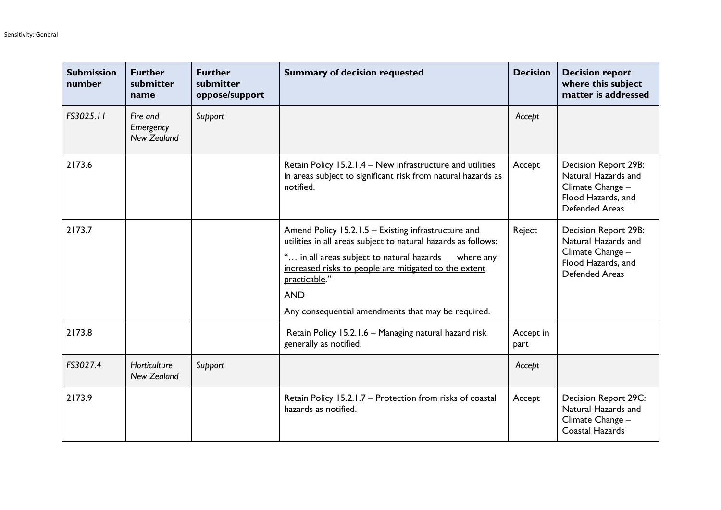| <b>Submission</b><br>number | <b>Further</b><br>submitter<br>name         | <b>Further</b><br>submitter<br>oppose/support | <b>Summary of decision requested</b>                                                                                                                                                                                                                                                                                         | <b>Decision</b>   | <b>Decision report</b><br>where this subject<br>matter is addressed                                            |
|-----------------------------|---------------------------------------------|-----------------------------------------------|------------------------------------------------------------------------------------------------------------------------------------------------------------------------------------------------------------------------------------------------------------------------------------------------------------------------------|-------------------|----------------------------------------------------------------------------------------------------------------|
| FS3025.11                   | Fire and<br>Emergency<br><b>New Zealand</b> | Support                                       |                                                                                                                                                                                                                                                                                                                              | Accept            |                                                                                                                |
| 2173.6                      |                                             |                                               | Retain Policy 15.2.1.4 - New infrastructure and utilities<br>in areas subject to significant risk from natural hazards as<br>notified.                                                                                                                                                                                       | Accept            | Decision Report 29B:<br>Natural Hazards and<br>Climate Change -<br>Flood Hazards, and<br><b>Defended Areas</b> |
| 2173.7                      |                                             |                                               | Amend Policy 15.2.1.5 - Existing infrastructure and<br>utilities in all areas subject to natural hazards as follows:<br>" in all areas subject to natural hazards<br>where any<br>increased risks to people are mitigated to the extent<br>practicable."<br><b>AND</b><br>Any consequential amendments that may be required. | Reject            | Decision Report 29B:<br>Natural Hazards and<br>Climate Change -<br>Flood Hazards, and<br>Defended Areas        |
| 2173.8                      |                                             |                                               | Retain Policy 15.2.1.6 - Managing natural hazard risk<br>generally as notified.                                                                                                                                                                                                                                              | Accept in<br>part |                                                                                                                |
| FS3027.4                    | Horticulture<br>New Zealand                 | Support                                       |                                                                                                                                                                                                                                                                                                                              | Accept            |                                                                                                                |
| 2173.9                      |                                             |                                               | Retain Policy 15.2.1.7 - Protection from risks of coastal<br>hazards as notified.                                                                                                                                                                                                                                            | Accept            | Decision Report 29C:<br>Natural Hazards and<br>Climate Change -<br>Coastal Hazards                             |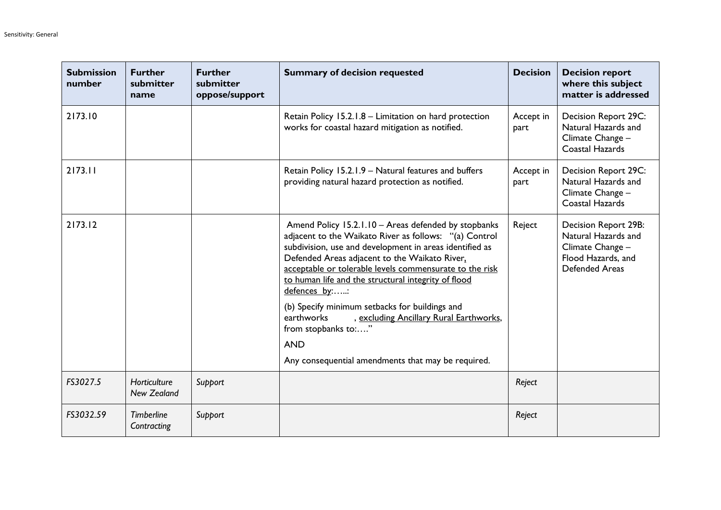| <b>Submission</b><br>number | <b>Further</b><br>submitter<br>name | <b>Further</b><br>submitter<br>oppose/support | <b>Summary of decision requested</b>                                                                                                                                                                                                                                                                                                                                                                                                                                                                                                                                | <b>Decision</b>   | <b>Decision report</b><br>where this subject<br>matter is addressed                                     |
|-----------------------------|-------------------------------------|-----------------------------------------------|---------------------------------------------------------------------------------------------------------------------------------------------------------------------------------------------------------------------------------------------------------------------------------------------------------------------------------------------------------------------------------------------------------------------------------------------------------------------------------------------------------------------------------------------------------------------|-------------------|---------------------------------------------------------------------------------------------------------|
| 2173.10                     |                                     |                                               | Retain Policy 15.2.1.8 - Limitation on hard protection<br>works for coastal hazard mitigation as notified.                                                                                                                                                                                                                                                                                                                                                                                                                                                          | Accept in<br>part | Decision Report 29C:<br>Natural Hazards and<br>Climate Change -<br>Coastal Hazards                      |
| 2173.11                     |                                     |                                               | Retain Policy 15.2.1.9 - Natural features and buffers<br>providing natural hazard protection as notified.                                                                                                                                                                                                                                                                                                                                                                                                                                                           | Accept in<br>part | Decision Report 29C:<br>Natural Hazards and<br>Climate Change -<br>Coastal Hazards                      |
| 2173.12                     |                                     |                                               | Amend Policy 15.2.1.10 - Areas defended by stopbanks<br>adjacent to the Waikato River as follows: "(a) Control<br>subdivision, use and development in areas identified as<br>Defended Areas adjacent to the Waikato River,<br>acceptable or tolerable levels commensurate to the risk<br>to human life and the structural integrity of flood<br>defences by::<br>(b) Specify minimum setbacks for buildings and<br>, excluding Ancillary Rural Earthworks,<br>earthworks<br>from stopbanks to:"<br><b>AND</b><br>Any consequential amendments that may be required. | Reject            | Decision Report 29B:<br>Natural Hazards and<br>Climate Change -<br>Flood Hazards, and<br>Defended Areas |
| FS3027.5                    | Horticulture<br><b>New Zealand</b>  | Support                                       |                                                                                                                                                                                                                                                                                                                                                                                                                                                                                                                                                                     | Reject            |                                                                                                         |
| FS3032.59                   | <b>Timberline</b><br>Contracting    | Support                                       |                                                                                                                                                                                                                                                                                                                                                                                                                                                                                                                                                                     | Reject            |                                                                                                         |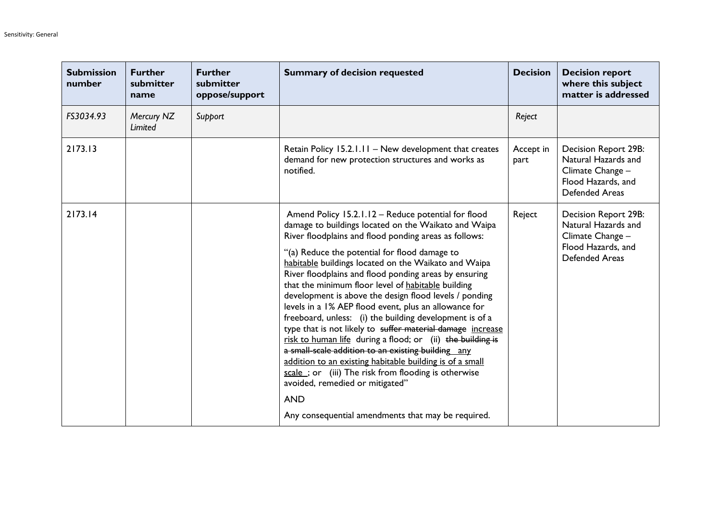| <b>Submission</b><br>number | <b>Further</b><br>submitter<br>name | <b>Further</b><br>submitter<br>oppose/support | <b>Summary of decision requested</b>                                                                                                                                                                                                                                                                                                                                                                                                                                                                                                                                                                                                                                                                                                                                                                                                                                                                                                                                                   | <b>Decision</b>   | <b>Decision report</b><br>where this subject<br>matter is addressed                                            |
|-----------------------------|-------------------------------------|-----------------------------------------------|----------------------------------------------------------------------------------------------------------------------------------------------------------------------------------------------------------------------------------------------------------------------------------------------------------------------------------------------------------------------------------------------------------------------------------------------------------------------------------------------------------------------------------------------------------------------------------------------------------------------------------------------------------------------------------------------------------------------------------------------------------------------------------------------------------------------------------------------------------------------------------------------------------------------------------------------------------------------------------------|-------------------|----------------------------------------------------------------------------------------------------------------|
| FS3034.93                   | Mercury NZ<br>Limited               | Support                                       |                                                                                                                                                                                                                                                                                                                                                                                                                                                                                                                                                                                                                                                                                                                                                                                                                                                                                                                                                                                        | Reject            |                                                                                                                |
| 2173.13                     |                                     |                                               | Retain Policy 15.2.1.11 - New development that creates<br>demand for new protection structures and works as<br>notified.                                                                                                                                                                                                                                                                                                                                                                                                                                                                                                                                                                                                                                                                                                                                                                                                                                                               | Accept in<br>part | Decision Report 29B:<br>Natural Hazards and<br>Climate Change -<br>Flood Hazards, and<br><b>Defended Areas</b> |
| 2173.14                     |                                     |                                               | Amend Policy 15.2.1.12 - Reduce potential for flood<br>damage to buildings located on the Waikato and Waipa<br>River floodplains and flood ponding areas as follows:<br>"(a) Reduce the potential for flood damage to<br>habitable buildings located on the Waikato and Waipa<br>River floodplains and flood ponding areas by ensuring<br>that the minimum floor level of habitable building<br>development is above the design flood levels / ponding<br>levels in a 1% AEP flood event, plus an allowance for<br>freeboard, unless: (i) the building development is of a<br>type that is not likely to suffer material damage increase<br>risk to human life during a flood; or (ii) the building is<br>a small-scale addition to an existing building any<br>addition to an existing habitable building is of a small<br>scale; or (iii) The risk from flooding is otherwise<br>avoided, remedied or mitigated"<br><b>AND</b><br>Any consequential amendments that may be required. | Reject            | Decision Report 29B:<br>Natural Hazards and<br>Climate Change -<br>Flood Hazards, and<br><b>Defended Areas</b> |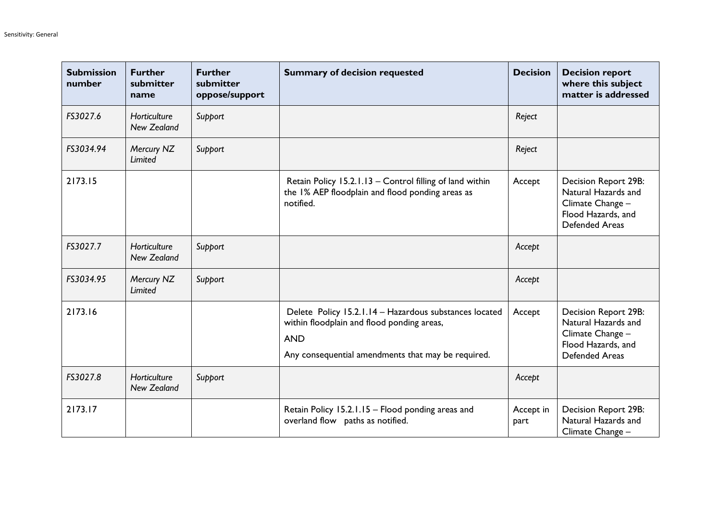| <b>Submission</b><br>number | <b>Further</b><br>submitter<br>name | <b>Further</b><br>submitter<br>oppose/support | <b>Summary of decision requested</b>                                                                                                                                     | <b>Decision</b>   | <b>Decision report</b><br>where this subject<br>matter is addressed                                                   |
|-----------------------------|-------------------------------------|-----------------------------------------------|--------------------------------------------------------------------------------------------------------------------------------------------------------------------------|-------------------|-----------------------------------------------------------------------------------------------------------------------|
| FS3027.6                    | Horticulture<br><b>New Zealand</b>  | Support                                       |                                                                                                                                                                          | Reject            |                                                                                                                       |
| FS3034.94                   | Mercury NZ<br>Limited               | Support                                       |                                                                                                                                                                          | Reject            |                                                                                                                       |
| 2173.15                     |                                     |                                               | Retain Policy 15.2.1.13 - Control filling of land within<br>the 1% AEP floodplain and flood ponding areas as<br>notified.                                                | Accept            | <b>Decision Report 29B:</b><br>Natural Hazards and<br>Climate Change -<br>Flood Hazards, and<br><b>Defended Areas</b> |
| FS3027.7                    | Horticulture<br><b>New Zealand</b>  | Support                                       |                                                                                                                                                                          | Accept            |                                                                                                                       |
| FS3034.95                   | Mercury NZ<br>Limited               | Support                                       |                                                                                                                                                                          | Accept            |                                                                                                                       |
| 2173.16                     |                                     |                                               | Delete Policy 15.2.1.14 - Hazardous substances located<br>within floodplain and flood ponding areas,<br><b>AND</b><br>Any consequential amendments that may be required. | Accept            | <b>Decision Report 29B:</b><br>Natural Hazards and<br>Climate Change -<br>Flood Hazards, and<br><b>Defended Areas</b> |
| FS3027.8                    | Horticulture<br>New Zealand         | Support                                       |                                                                                                                                                                          | Accept            |                                                                                                                       |
| 2173.17                     |                                     |                                               | Retain Policy 15.2.1.15 - Flood ponding areas and<br>overland flow paths as notified.                                                                                    | Accept in<br>part | Decision Report 29B:<br>Natural Hazards and<br>Climate Change -                                                       |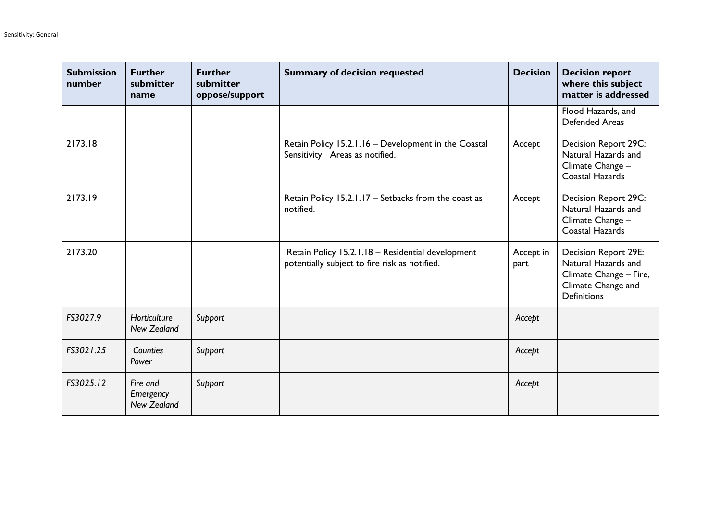| <b>Submission</b><br>number | <b>Further</b><br>submitter<br>name         | <b>Further</b><br>submitter<br>oppose/support | <b>Summary of decision requested</b>                                                               | <b>Decision</b>   | <b>Decision report</b><br>where this subject<br>matter is addressed                                               |
|-----------------------------|---------------------------------------------|-----------------------------------------------|----------------------------------------------------------------------------------------------------|-------------------|-------------------------------------------------------------------------------------------------------------------|
|                             |                                             |                                               |                                                                                                    |                   | Flood Hazards, and<br><b>Defended Areas</b>                                                                       |
| 2173.18                     |                                             |                                               | Retain Policy 15.2.1.16 - Development in the Coastal<br>Sensitivity Areas as notified.             | Accept            | Decision Report 29C:<br>Natural Hazards and<br>Climate Change -<br>Coastal Hazards                                |
| 2173.19                     |                                             |                                               | Retain Policy 15.2.1.17 - Setbacks from the coast as<br>notified.                                  | Accept            | Decision Report 29C:<br>Natural Hazards and<br>Climate Change -<br>Coastal Hazards                                |
| 2173.20                     |                                             |                                               | Retain Policy 15.2.1.18 - Residential development<br>potentially subject to fire risk as notified. | Accept in<br>part | Decision Report 29E:<br>Natural Hazards and<br>Climate Change - Fire,<br>Climate Change and<br><b>Definitions</b> |
| FS3027.9                    | Horticulture<br><b>New Zealand</b>          | Support                                       |                                                                                                    | Accept            |                                                                                                                   |
| FS3021.25                   | Counties<br>Power                           | Support                                       |                                                                                                    | Accept            |                                                                                                                   |
| FS3025.12                   | Fire and<br>Emergency<br><b>New Zealand</b> | Support                                       |                                                                                                    | Accept            |                                                                                                                   |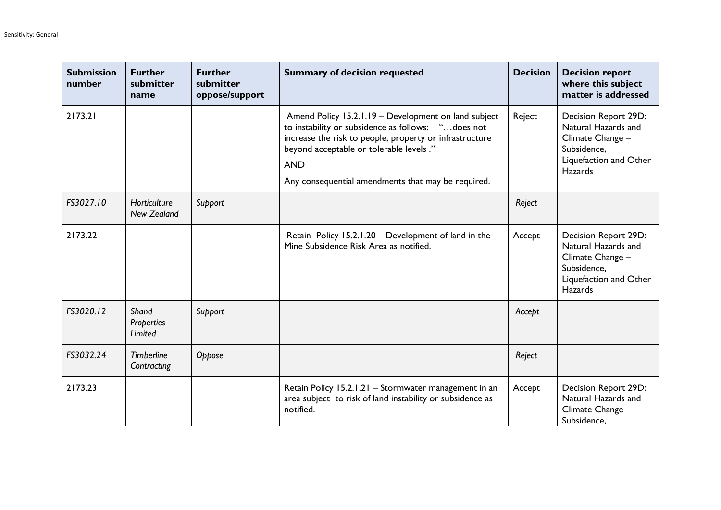| <b>Submission</b><br>number | <b>Further</b><br>submitter<br>name | <b>Further</b><br>submitter<br>oppose/support | <b>Summary of decision requested</b>                                                                                                                                                                                                                                                 | <b>Decision</b> | <b>Decision report</b><br>where this subject<br>matter is addressed                                                        |
|-----------------------------|-------------------------------------|-----------------------------------------------|--------------------------------------------------------------------------------------------------------------------------------------------------------------------------------------------------------------------------------------------------------------------------------------|-----------------|----------------------------------------------------------------------------------------------------------------------------|
| 2173.21                     |                                     |                                               | Amend Policy 15.2.1.19 - Development on land subject<br>to instability or subsidence as follows: "does not<br>increase the risk to people, property or infrastructure<br>beyond acceptable or tolerable levels."<br><b>AND</b><br>Any consequential amendments that may be required. | Reject          | Decision Report 29D:<br>Natural Hazards and<br>Climate Change -<br>Subsidence,<br>Liquefaction and Other<br><b>Hazards</b> |
| FS3027.10                   | Horticulture<br>New Zealand         | Support                                       |                                                                                                                                                                                                                                                                                      | Reject          |                                                                                                                            |
| 2173.22                     |                                     |                                               | Retain Policy 15.2.1.20 - Development of land in the<br>Mine Subsidence Risk Area as notified.                                                                                                                                                                                       | Accept          | Decision Report 29D:<br>Natural Hazards and<br>Climate Change -<br>Subsidence,<br>Liquefaction and Other<br><b>Hazards</b> |
| FS3020.12                   | Shand<br>Properties<br>Limited      | Support                                       |                                                                                                                                                                                                                                                                                      | Accept          |                                                                                                                            |
| FS3032.24                   | <b>Timberline</b><br>Contracting    | Oppose                                        |                                                                                                                                                                                                                                                                                      | Reject          |                                                                                                                            |
| 2173.23                     |                                     |                                               | Retain Policy 15.2.1.21 - Stormwater management in an<br>area subject to risk of land instability or subsidence as<br>notified.                                                                                                                                                      | Accept          | Decision Report 29D:<br>Natural Hazards and<br>Climate Change -<br>Subsidence.                                             |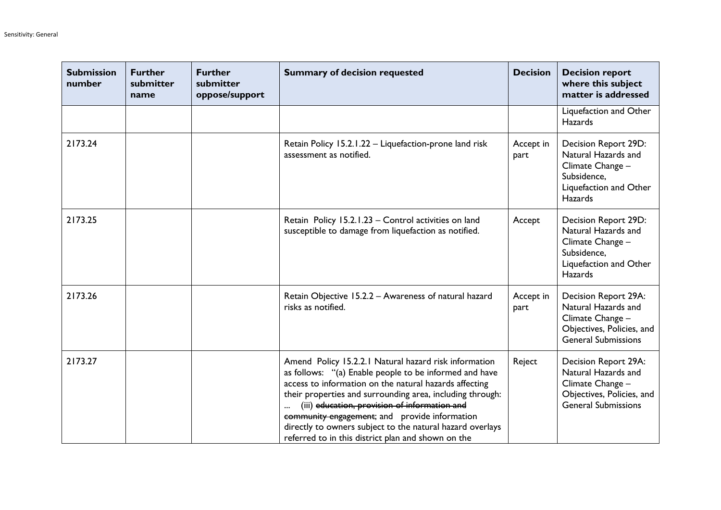| <b>Submission</b><br>number | <b>Further</b><br>submitter<br>name | <b>Further</b><br>submitter<br>oppose/support | <b>Summary of decision requested</b>                                                                                                                                                                                                                                                                                                                                                                                                                        | <b>Decision</b>   | <b>Decision report</b><br>where this subject<br>matter is addressed                                                        |
|-----------------------------|-------------------------------------|-----------------------------------------------|-------------------------------------------------------------------------------------------------------------------------------------------------------------------------------------------------------------------------------------------------------------------------------------------------------------------------------------------------------------------------------------------------------------------------------------------------------------|-------------------|----------------------------------------------------------------------------------------------------------------------------|
|                             |                                     |                                               |                                                                                                                                                                                                                                                                                                                                                                                                                                                             |                   | Liquefaction and Other<br><b>Hazards</b>                                                                                   |
| 2173.24                     |                                     |                                               | Retain Policy 15.2.1.22 - Liquefaction-prone land risk<br>assessment as notified.                                                                                                                                                                                                                                                                                                                                                                           | Accept in<br>part | Decision Report 29D:<br>Natural Hazards and<br>Climate Change -<br>Subsidence,<br>Liquefaction and Other<br><b>Hazards</b> |
| 2173.25                     |                                     |                                               | Retain Policy 15.2.1.23 - Control activities on land<br>susceptible to damage from liquefaction as notified.                                                                                                                                                                                                                                                                                                                                                | Accept            | Decision Report 29D:<br>Natural Hazards and<br>Climate Change -<br>Subsidence,<br>Liquefaction and Other<br><b>Hazards</b> |
| 2173.26                     |                                     |                                               | Retain Objective 15.2.2 - Awareness of natural hazard<br>risks as notified.                                                                                                                                                                                                                                                                                                                                                                                 | Accept in<br>part | Decision Report 29A:<br>Natural Hazards and<br>Climate Change -<br>Objectives, Policies, and<br><b>General Submissions</b> |
| 2173.27                     |                                     |                                               | Amend Policy 15.2.2.1 Natural hazard risk information<br>as follows: "(a) Enable people to be informed and have<br>access to information on the natural hazards affecting<br>their properties and surrounding area, including through:<br>(iii) education, provision of information and<br>community engagement; and provide information<br>directly to owners subject to the natural hazard overlays<br>referred to in this district plan and shown on the | Reject            | Decision Report 29A:<br>Natural Hazards and<br>Climate Change -<br>Objectives, Policies, and<br><b>General Submissions</b> |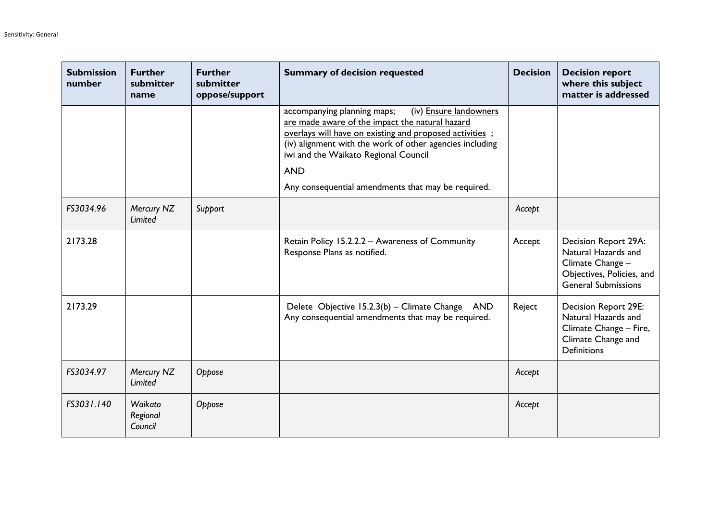| <b>Submission</b><br>number | <b>Further</b><br>submitter<br>name | <b>Further</b><br>submitter<br>oppose/support | <b>Summary of decision requested</b>                                                                                                                                                                                                                                                                                                        | <b>Decision</b> | <b>Decision report</b><br>where this subject<br>matter is addressed                                                        |
|-----------------------------|-------------------------------------|-----------------------------------------------|---------------------------------------------------------------------------------------------------------------------------------------------------------------------------------------------------------------------------------------------------------------------------------------------------------------------------------------------|-----------------|----------------------------------------------------------------------------------------------------------------------------|
|                             |                                     |                                               | (iv) Ensure landowners<br>accompanying planning maps;<br>are made aware of the impact the natural hazard<br>overlays will have on existing and proposed activities;<br>(iv) alignment with the work of other agencies including<br>iwi and the Waikato Regional Council<br><b>AND</b><br>Any consequential amendments that may be required. |                 |                                                                                                                            |
| FS3034.96                   | Mercury NZ<br>Limited               | Support                                       |                                                                                                                                                                                                                                                                                                                                             | Accept          |                                                                                                                            |
| 2173.28                     |                                     |                                               | Retain Policy 15.2.2.2 - Awareness of Community<br>Response Plans as notified.                                                                                                                                                                                                                                                              | Accept          | Decision Report 29A:<br>Natural Hazards and<br>Climate Change -<br>Objectives, Policies, and<br><b>General Submissions</b> |
| 2173.29                     |                                     |                                               | Delete Objective 15.2.3(b) - Climate Change AND<br>Any consequential amendments that may be required.                                                                                                                                                                                                                                       | Reject          | Decision Report 29E:<br>Natural Hazards and<br>Climate Change - Fire,<br>Climate Change and<br><b>Definitions</b>          |
| FS3034.97                   | Mercury NZ<br>Limited               | Oppose                                        |                                                                                                                                                                                                                                                                                                                                             | Accept          |                                                                                                                            |
| FS3031.140                  | Waikato<br>Regional<br>Council      | Oppose                                        |                                                                                                                                                                                                                                                                                                                                             | Accept          |                                                                                                                            |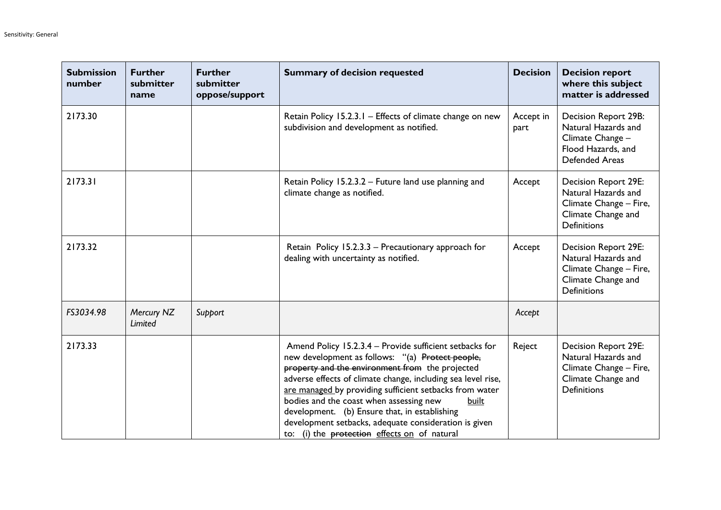| <b>Submission</b><br>number | <b>Further</b><br>submitter<br>name | <b>Further</b><br>submitter<br>oppose/support | <b>Summary of decision requested</b>                                                                                                                                                                                                                                                                                                                                                                                                                                                                    | <b>Decision</b>   | <b>Decision report</b><br>where this subject<br>matter is addressed                                                      |
|-----------------------------|-------------------------------------|-----------------------------------------------|---------------------------------------------------------------------------------------------------------------------------------------------------------------------------------------------------------------------------------------------------------------------------------------------------------------------------------------------------------------------------------------------------------------------------------------------------------------------------------------------------------|-------------------|--------------------------------------------------------------------------------------------------------------------------|
| 2173.30                     |                                     |                                               | Retain Policy 15.2.3.1 - Effects of climate change on new<br>subdivision and development as notified.                                                                                                                                                                                                                                                                                                                                                                                                   | Accept in<br>part | Decision Report 29B:<br>Natural Hazards and<br>Climate Change -<br>Flood Hazards, and<br><b>Defended Areas</b>           |
| 2173.31                     |                                     |                                               | Retain Policy 15.2.3.2 - Future land use planning and<br>climate change as notified.                                                                                                                                                                                                                                                                                                                                                                                                                    | Accept            | Decision Report 29E:<br>Natural Hazards and<br>Climate Change - Fire,<br>Climate Change and<br><b>Definitions</b>        |
| 2173.32                     |                                     |                                               | Retain Policy 15.2.3.3 - Precautionary approach for<br>dealing with uncertainty as notified.                                                                                                                                                                                                                                                                                                                                                                                                            | Accept            | <b>Decision Report 29E:</b><br>Natural Hazards and<br>Climate Change - Fire,<br>Climate Change and<br><b>Definitions</b> |
| FS3034.98                   | Mercury NZ<br>Limited               | Support                                       |                                                                                                                                                                                                                                                                                                                                                                                                                                                                                                         | Accept            |                                                                                                                          |
| 2173.33                     |                                     |                                               | Amend Policy 15.2.3.4 - Provide sufficient setbacks for<br>new development as follows: "(a) Protect people,<br>property and the environment from the projected<br>adverse effects of climate change, including sea level rise,<br>are managed by providing sufficient setbacks from water<br>bodies and the coast when assessing new<br>built<br>development. (b) Ensure that, in establishing<br>development setbacks, adequate consideration is given<br>to: (i) the protection effects on of natural | Reject            | Decision Report 29E:<br>Natural Hazards and<br>Climate Change - Fire,<br>Climate Change and<br><b>Definitions</b>        |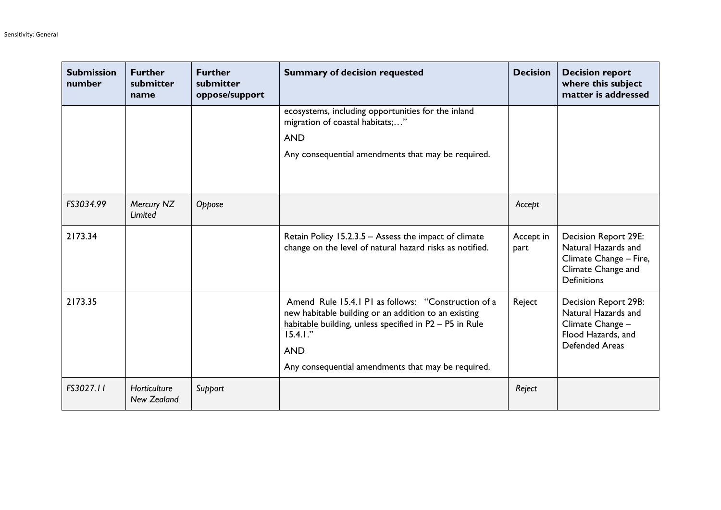| <b>Submission</b><br>number | <b>Further</b><br>submitter<br>name | <b>Further</b><br>submitter<br>oppose/support | <b>Summary of decision requested</b>                                                                                                                                                                                                                      | <b>Decision</b>   | <b>Decision report</b><br>where this subject<br>matter is addressed                                                      |
|-----------------------------|-------------------------------------|-----------------------------------------------|-----------------------------------------------------------------------------------------------------------------------------------------------------------------------------------------------------------------------------------------------------------|-------------------|--------------------------------------------------------------------------------------------------------------------------|
|                             |                                     |                                               | ecosystems, including opportunities for the inland<br>migration of coastal habitats;"<br><b>AND</b><br>Any consequential amendments that may be required.                                                                                                 |                   |                                                                                                                          |
| FS3034.99                   | Mercury NZ<br>Limited               | Oppose                                        |                                                                                                                                                                                                                                                           | Accept            |                                                                                                                          |
| 2173.34                     |                                     |                                               | Retain Policy 15.2.3.5 - Assess the impact of climate<br>change on the level of natural hazard risks as notified.                                                                                                                                         | Accept in<br>part | <b>Decision Report 29E:</b><br>Natural Hazards and<br>Climate Change - Fire,<br>Climate Change and<br><b>Definitions</b> |
| 2173.35                     |                                     |                                               | Amend Rule 15.4.1 P1 as follows: "Construction of a<br>new habitable building or an addition to an existing<br>habitable building, unless specified in P2 - P5 in Rule<br>$15.4.1.$ "<br><b>AND</b><br>Any consequential amendments that may be required. | Reject            | Decision Report 29B:<br>Natural Hazards and<br>Climate Change -<br>Flood Hazards, and<br><b>Defended Areas</b>           |
| FS3027.11                   | Horticulture<br>New Zealand         | Support                                       |                                                                                                                                                                                                                                                           | Reject            |                                                                                                                          |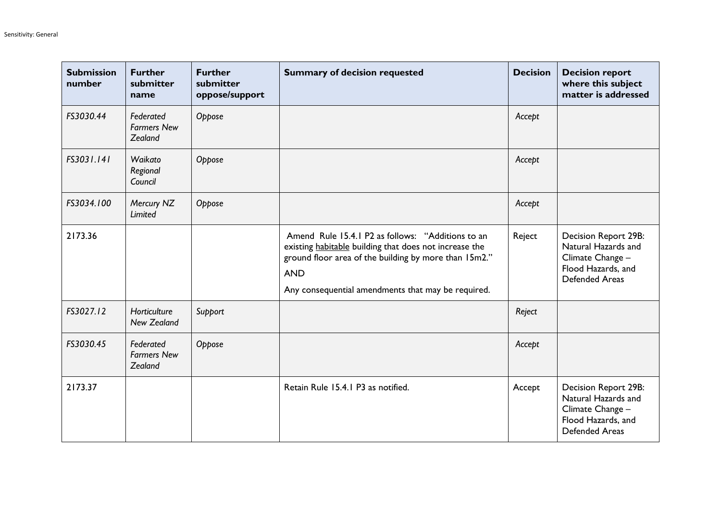| <b>Submission</b><br>number | <b>Further</b><br>submitter<br>name        | <b>Further</b><br>submitter<br>oppose/support | <b>Summary of decision requested</b>                                                                                                                                                                                                     | <b>Decision</b> | <b>Decision report</b><br>where this subject<br>matter is addressed                                            |
|-----------------------------|--------------------------------------------|-----------------------------------------------|------------------------------------------------------------------------------------------------------------------------------------------------------------------------------------------------------------------------------------------|-----------------|----------------------------------------------------------------------------------------------------------------|
| FS3030.44                   | Federated<br><b>Farmers New</b><br>Zealand | Oppose                                        |                                                                                                                                                                                                                                          | Accept          |                                                                                                                |
| FS3031.141                  | Waikato<br>Regional<br>Council             | Oppose                                        |                                                                                                                                                                                                                                          | Accept          |                                                                                                                |
| FS3034.100                  | Mercury NZ<br>Limited                      | Oppose                                        |                                                                                                                                                                                                                                          | Accept          |                                                                                                                |
| 2173.36                     |                                            |                                               | Amend Rule 15.4.1 P2 as follows: "Additions to an<br>existing habitable building that does not increase the<br>ground floor area of the building by more than 15m2."<br><b>AND</b><br>Any consequential amendments that may be required. | Reject          | Decision Report 29B:<br>Natural Hazards and<br>Climate Change -<br>Flood Hazards, and<br><b>Defended Areas</b> |
| FS3027.12                   | Horticulture<br><b>New Zealand</b>         | Support                                       |                                                                                                                                                                                                                                          | Reject          |                                                                                                                |
| FS3030.45                   | Federated<br><b>Farmers New</b><br>Zealand | Oppose                                        |                                                                                                                                                                                                                                          | Accept          |                                                                                                                |
| 2173.37                     |                                            |                                               | Retain Rule 15.4.1 P3 as notified.                                                                                                                                                                                                       | Accept          | Decision Report 29B:<br>Natural Hazards and<br>Climate Change -<br>Flood Hazards, and<br><b>Defended Areas</b> |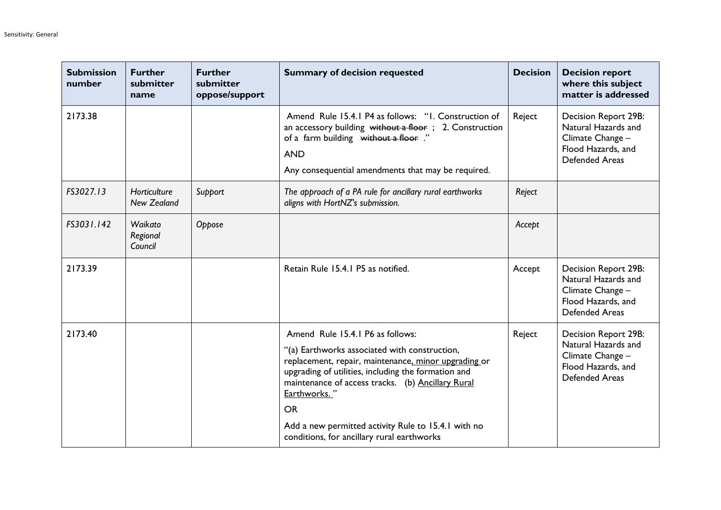| <b>Submission</b><br>number | <b>Further</b><br>submitter<br>name | <b>Further</b><br>submitter<br>oppose/support | <b>Summary of decision requested</b>                                                                                                                                                                                                                                                                                                                                                    | <b>Decision</b> | <b>Decision report</b><br>where this subject<br>matter is addressed                                            |
|-----------------------------|-------------------------------------|-----------------------------------------------|-----------------------------------------------------------------------------------------------------------------------------------------------------------------------------------------------------------------------------------------------------------------------------------------------------------------------------------------------------------------------------------------|-----------------|----------------------------------------------------------------------------------------------------------------|
| 2173.38                     |                                     |                                               | Amend Rule 15.4.1 P4 as follows: "I. Construction of<br>an accessory building without a floor; 2. Construction<br>of a farm building without a floor."<br><b>AND</b><br>Any consequential amendments that may be required.                                                                                                                                                              | Reject          | Decision Report 29B:<br>Natural Hazards and<br>Climate Change -<br>Flood Hazards, and<br><b>Defended Areas</b> |
| FS3027.13                   | Horticulture<br><b>New Zealand</b>  | Support                                       | The approach of a PA rule for ancillary rural earthworks<br>aligns with HortNZ's submission.                                                                                                                                                                                                                                                                                            | Reject          |                                                                                                                |
| FS3031.142                  | Waikato<br>Regional<br>Council      | Oppose                                        |                                                                                                                                                                                                                                                                                                                                                                                         | Accept          |                                                                                                                |
| 2173.39                     |                                     |                                               | Retain Rule 15.4.1 P5 as notified.                                                                                                                                                                                                                                                                                                                                                      | Accept          | Decision Report 29B:<br>Natural Hazards and<br>Climate Change -<br>Flood Hazards, and<br><b>Defended Areas</b> |
| 2173.40                     |                                     |                                               | Amend Rule 15.4.1 P6 as follows:<br>"(a) Earthworks associated with construction,<br>replacement, repair, maintenance, minor upgrading or<br>upgrading of utilities, including the formation and<br>maintenance of access tracks. (b) Ancillary Rural<br>Earthworks."<br><b>OR</b><br>Add a new permitted activity Rule to 15.4.1 with no<br>conditions, for ancillary rural earthworks | Reject          | Decision Report 29B:<br>Natural Hazards and<br>Climate Change -<br>Flood Hazards, and<br><b>Defended Areas</b> |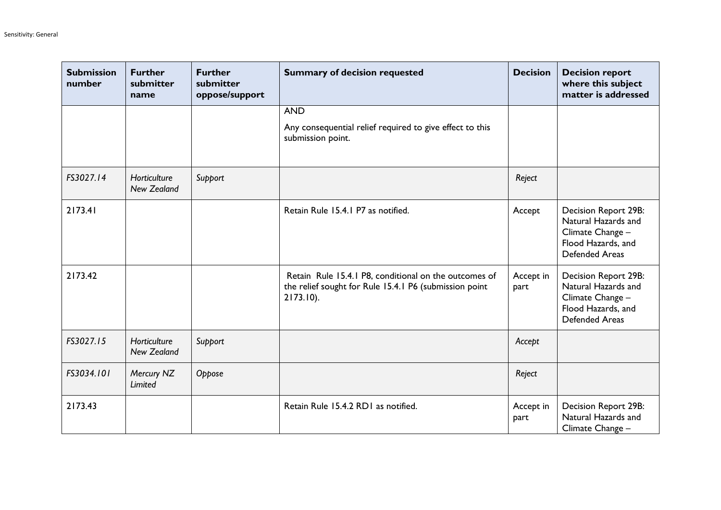| <b>Submission</b><br>number | <b>Further</b><br>submitter<br>name | <b>Further</b><br>submitter<br>oppose/support | <b>Summary of decision requested</b>                                                                                            | <b>Decision</b>   | <b>Decision report</b><br>where this subject<br>matter is addressed                                            |
|-----------------------------|-------------------------------------|-----------------------------------------------|---------------------------------------------------------------------------------------------------------------------------------|-------------------|----------------------------------------------------------------------------------------------------------------|
|                             |                                     |                                               | <b>AND</b>                                                                                                                      |                   |                                                                                                                |
|                             |                                     |                                               | Any consequential relief required to give effect to this<br>submission point.                                                   |                   |                                                                                                                |
| FS3027.14                   | Horticulture<br>New Zealand         | Support                                       |                                                                                                                                 | Reject            |                                                                                                                |
| 2173.41                     |                                     |                                               | Retain Rule 15.4.1 P7 as notified.                                                                                              | Accept            | Decision Report 29B:<br>Natural Hazards and<br>Climate Change -<br>Flood Hazards, and<br><b>Defended Areas</b> |
| 2173.42                     |                                     |                                               | Retain Rule 15.4.1 P8, conditional on the outcomes of<br>the relief sought for Rule 15.4.1 P6 (submission point<br>$2173.10$ ). | Accept in<br>part | Decision Report 29B:<br>Natural Hazards and<br>Climate Change -<br>Flood Hazards, and<br><b>Defended Areas</b> |
| FS3027.15                   | Horticulture<br><b>New Zealand</b>  | Support                                       |                                                                                                                                 | Accept            |                                                                                                                |
| FS3034.101                  | Mercury NZ<br>Limited               | Oppose                                        |                                                                                                                                 | Reject            |                                                                                                                |
| 2173.43                     |                                     |                                               | Retain Rule 15.4.2 RD1 as notified.                                                                                             | Accept in<br>part | <b>Decision Report 29B:</b><br>Natural Hazards and<br>Climate Change -                                         |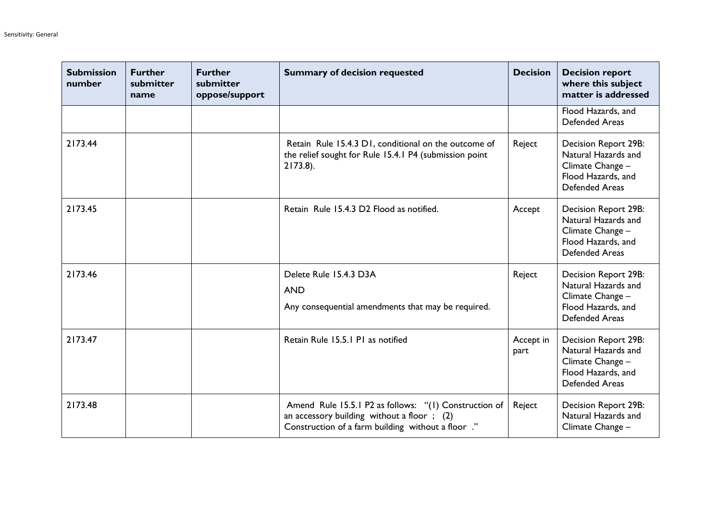| <b>Submission</b><br>number | <b>Further</b><br>submitter<br>name | <b>Further</b><br>submitter<br>oppose/support | <b>Summary of decision requested</b>                                                                                                                     | <b>Decision</b>   | <b>Decision report</b><br>where this subject<br>matter is addressed                                            |
|-----------------------------|-------------------------------------|-----------------------------------------------|----------------------------------------------------------------------------------------------------------------------------------------------------------|-------------------|----------------------------------------------------------------------------------------------------------------|
|                             |                                     |                                               |                                                                                                                                                          |                   | Flood Hazards, and<br><b>Defended Areas</b>                                                                    |
| 2173.44                     |                                     |                                               | Retain Rule 15.4.3 D1, conditional on the outcome of<br>the relief sought for Rule 15.4.1 P4 (submission point<br>$2173.8$ ).                            | Reject            | Decision Report 29B:<br>Natural Hazards and<br>Climate Change -<br>Flood Hazards, and<br><b>Defended Areas</b> |
| 2173.45                     |                                     |                                               | Retain Rule 15.4.3 D2 Flood as notified.                                                                                                                 | Accept            | Decision Report 29B:<br>Natural Hazards and<br>Climate Change -<br>Flood Hazards, and<br><b>Defended Areas</b> |
| 2173.46                     |                                     |                                               | Delete Rule 15.4.3 D3A<br><b>AND</b><br>Any consequential amendments that may be required.                                                               | Reject            | Decision Report 29B:<br>Natural Hazards and<br>Climate Change -<br>Flood Hazards, and<br><b>Defended Areas</b> |
| 2173.47                     |                                     |                                               | Retain Rule 15.5.1 P1 as notified                                                                                                                        | Accept in<br>part | Decision Report 29B:<br>Natural Hazards and<br>Climate Change -<br>Flood Hazards, and<br><b>Defended Areas</b> |
| 2173.48                     |                                     |                                               | Amend Rule 15.5.1 P2 as follows: "(1) Construction of<br>an accessory building without a floor; (2)<br>Construction of a farm building without a floor." | Reject            | Decision Report 29B:<br>Natural Hazards and<br>Climate Change -                                                |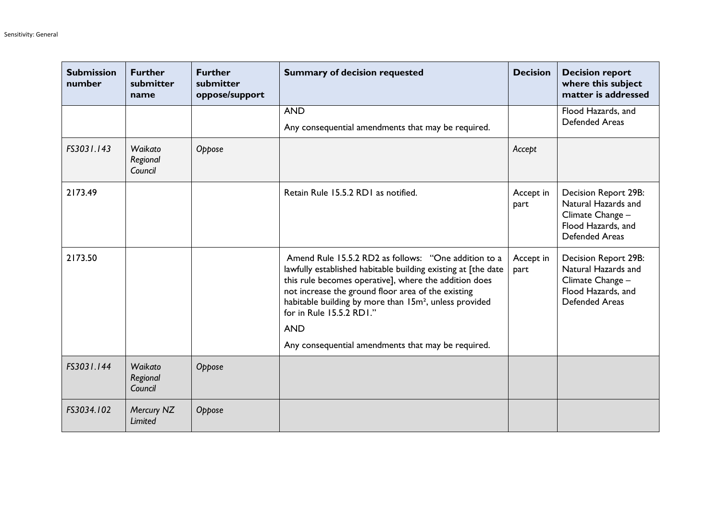| <b>Submission</b><br>number | <b>Further</b><br>submitter<br>name | <b>Further</b><br>submitter<br>oppose/support | <b>Summary of decision requested</b>                                                                                                                                                                                                                                                                                                                 | <b>Decision</b>   | <b>Decision report</b><br>where this subject<br>matter is addressed                                            |
|-----------------------------|-------------------------------------|-----------------------------------------------|------------------------------------------------------------------------------------------------------------------------------------------------------------------------------------------------------------------------------------------------------------------------------------------------------------------------------------------------------|-------------------|----------------------------------------------------------------------------------------------------------------|
|                             |                                     |                                               | <b>AND</b><br>Any consequential amendments that may be required.                                                                                                                                                                                                                                                                                     |                   | Flood Hazards, and<br><b>Defended Areas</b>                                                                    |
| FS3031.143                  | Waikato<br>Regional<br>Council      | Oppose                                        |                                                                                                                                                                                                                                                                                                                                                      | Accept            |                                                                                                                |
| 2173.49                     |                                     |                                               | Retain Rule 15.5.2 RD1 as notified.                                                                                                                                                                                                                                                                                                                  | Accept in<br>part | Decision Report 29B:<br>Natural Hazards and<br>Climate Change -<br>Flood Hazards, and<br><b>Defended Areas</b> |
| 2173.50                     |                                     |                                               | Amend Rule 15.5.2 RD2 as follows: "One addition to a<br>lawfully established habitable building existing at [the date<br>this rule becomes operative], where the addition does<br>not increase the ground floor area of the existing<br>habitable building by more than 15m <sup>2</sup> , unless provided<br>for in Rule 15.5.2 RD1."<br><b>AND</b> | Accept in<br>part | Decision Report 29B:<br>Natural Hazards and<br>Climate Change -<br>Flood Hazards, and<br><b>Defended Areas</b> |
|                             |                                     |                                               | Any consequential amendments that may be required.                                                                                                                                                                                                                                                                                                   |                   |                                                                                                                |
| FS3031.144                  | Waikato<br>Regional<br>Council      | Oppose                                        |                                                                                                                                                                                                                                                                                                                                                      |                   |                                                                                                                |
| FS3034.102                  | Mercury NZ<br>Limited               | Oppose                                        |                                                                                                                                                                                                                                                                                                                                                      |                   |                                                                                                                |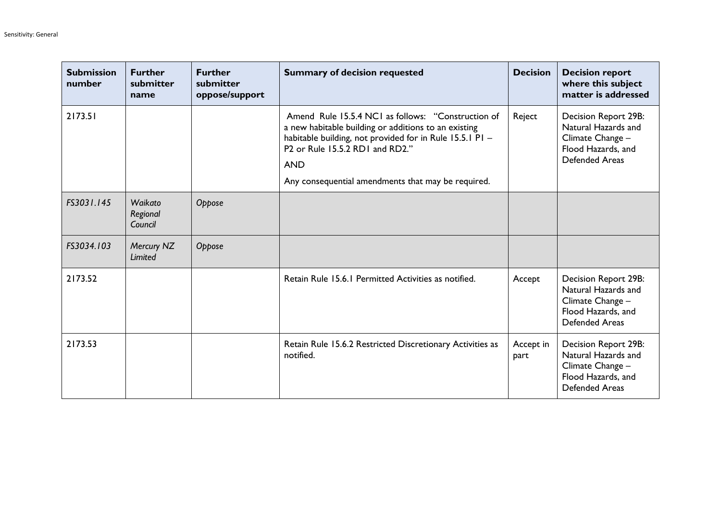| <b>Submission</b><br>number | <b>Further</b><br>submitter<br>name | <b>Further</b><br>submitter<br>oppose/support | <b>Summary of decision requested</b>                                                                                                                                                                                                                                                                               | <b>Decision</b>   | <b>Decision report</b><br>where this subject<br>matter is addressed                                            |
|-----------------------------|-------------------------------------|-----------------------------------------------|--------------------------------------------------------------------------------------------------------------------------------------------------------------------------------------------------------------------------------------------------------------------------------------------------------------------|-------------------|----------------------------------------------------------------------------------------------------------------|
| 2173.51                     |                                     |                                               | Amend Rule 15.5.4 NC1 as follows: "Construction of<br>a new habitable building or additions to an existing<br>habitable building, not provided for in Rule 15.5.1 P1 -<br>P <sub>2</sub> or Rule 15.5.2 RD <sub>1</sub> and RD <sub>2</sub> ."<br><b>AND</b><br>Any consequential amendments that may be required. | Reject            | Decision Report 29B:<br>Natural Hazards and<br>Climate Change -<br>Flood Hazards, and<br><b>Defended Areas</b> |
| FS3031.145                  | Waikato<br>Regional<br>Council      | Oppose                                        |                                                                                                                                                                                                                                                                                                                    |                   |                                                                                                                |
| FS3034.103                  | Mercury NZ<br>Limited               | Oppose                                        |                                                                                                                                                                                                                                                                                                                    |                   |                                                                                                                |
| 2173.52                     |                                     |                                               | Retain Rule 15.6.1 Permitted Activities as notified.                                                                                                                                                                                                                                                               | Accept            | Decision Report 29B:<br>Natural Hazards and<br>Climate Change -<br>Flood Hazards, and<br><b>Defended Areas</b> |
| 2173.53                     |                                     |                                               | Retain Rule 15.6.2 Restricted Discretionary Activities as<br>notified.                                                                                                                                                                                                                                             | Accept in<br>part | Decision Report 29B:<br>Natural Hazards and<br>Climate Change -<br>Flood Hazards, and<br><b>Defended Areas</b> |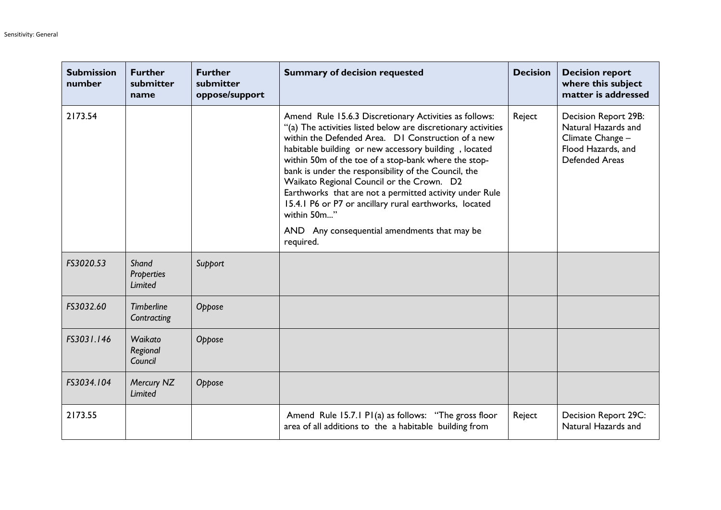| <b>Submission</b><br>number | <b>Further</b><br>submitter<br>name | <b>Further</b><br>submitter<br>oppose/support | <b>Summary of decision requested</b>                                                                                                                                                                                                                                                                                                                                                                                                                                                                                                                                                                 | <b>Decision</b> | <b>Decision report</b><br>where this subject<br>matter is addressed                                            |
|-----------------------------|-------------------------------------|-----------------------------------------------|------------------------------------------------------------------------------------------------------------------------------------------------------------------------------------------------------------------------------------------------------------------------------------------------------------------------------------------------------------------------------------------------------------------------------------------------------------------------------------------------------------------------------------------------------------------------------------------------------|-----------------|----------------------------------------------------------------------------------------------------------------|
| 2173.54                     |                                     |                                               | Amend Rule 15.6.3 Discretionary Activities as follows:<br>"(a) The activities listed below are discretionary activities<br>within the Defended Area. DI Construction of a new<br>habitable building or new accessory building, located<br>within 50m of the toe of a stop-bank where the stop-<br>bank is under the responsibility of the Council, the<br>Waikato Regional Council or the Crown. D2<br>Earthworks that are not a permitted activity under Rule<br>15.4.1 P6 or P7 or ancillary rural earthworks, located<br>within 50m"<br>AND Any consequential amendments that may be<br>required. | Reject          | Decision Report 29B:<br>Natural Hazards and<br>Climate Change -<br>Flood Hazards, and<br><b>Defended Areas</b> |
| FS3020.53                   | Shand<br>Properties<br>Limited      | Support                                       |                                                                                                                                                                                                                                                                                                                                                                                                                                                                                                                                                                                                      |                 |                                                                                                                |
| FS3032.60                   | <b>Timberline</b><br>Contracting    | Oppose                                        |                                                                                                                                                                                                                                                                                                                                                                                                                                                                                                                                                                                                      |                 |                                                                                                                |
| FS3031.146                  | Waikato<br>Regional<br>Council      | Oppose                                        |                                                                                                                                                                                                                                                                                                                                                                                                                                                                                                                                                                                                      |                 |                                                                                                                |
| FS3034.104                  | Mercury NZ<br><b>Limited</b>        | Oppose                                        |                                                                                                                                                                                                                                                                                                                                                                                                                                                                                                                                                                                                      |                 |                                                                                                                |
| 2173.55                     |                                     |                                               | Amend Rule 15.7.1 P1(a) as follows: "The gross floor<br>area of all additions to the a habitable building from                                                                                                                                                                                                                                                                                                                                                                                                                                                                                       | Reject          | Decision Report 29C:<br>Natural Hazards and                                                                    |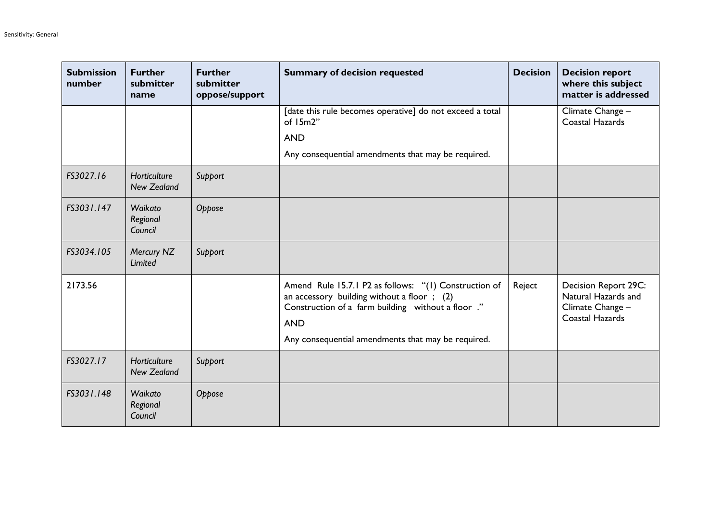| <b>Submission</b><br>number | <b>Further</b><br>submitter<br>name | <b>Further</b><br>submitter<br>oppose/support | <b>Summary of decision requested</b>                                                                                                                                                                                            | <b>Decision</b> | <b>Decision report</b><br>where this subject<br>matter is addressed                |
|-----------------------------|-------------------------------------|-----------------------------------------------|---------------------------------------------------------------------------------------------------------------------------------------------------------------------------------------------------------------------------------|-----------------|------------------------------------------------------------------------------------|
|                             |                                     |                                               | [date this rule becomes operative] do not exceed a total<br>of $15m2"$                                                                                                                                                          |                 | Climate Change -<br>Coastal Hazards                                                |
|                             |                                     |                                               | <b>AND</b>                                                                                                                                                                                                                      |                 |                                                                                    |
|                             |                                     |                                               | Any consequential amendments that may be required.                                                                                                                                                                              |                 |                                                                                    |
| FS3027.16                   | Horticulture<br><b>New Zealand</b>  | Support                                       |                                                                                                                                                                                                                                 |                 |                                                                                    |
| FS3031.147                  | Waikato<br>Regional<br>Council      | Oppose                                        |                                                                                                                                                                                                                                 |                 |                                                                                    |
| FS3034.105                  | Mercury NZ<br>Limited               | Support                                       |                                                                                                                                                                                                                                 |                 |                                                                                    |
| 2173.56                     |                                     |                                               | Amend Rule 15.7.1 P2 as follows: "(1) Construction of<br>an accessory building without a floor; $(2)$<br>Construction of a farm building without a floor ."<br><b>AND</b><br>Any consequential amendments that may be required. | Reject          | Decision Report 29C:<br>Natural Hazards and<br>Climate Change -<br>Coastal Hazards |
| FS3027.17                   | Horticulture<br><b>New Zealand</b>  | Support                                       |                                                                                                                                                                                                                                 |                 |                                                                                    |
| FS3031.148                  | Waikato<br>Regional<br>Council      | Oppose                                        |                                                                                                                                                                                                                                 |                 |                                                                                    |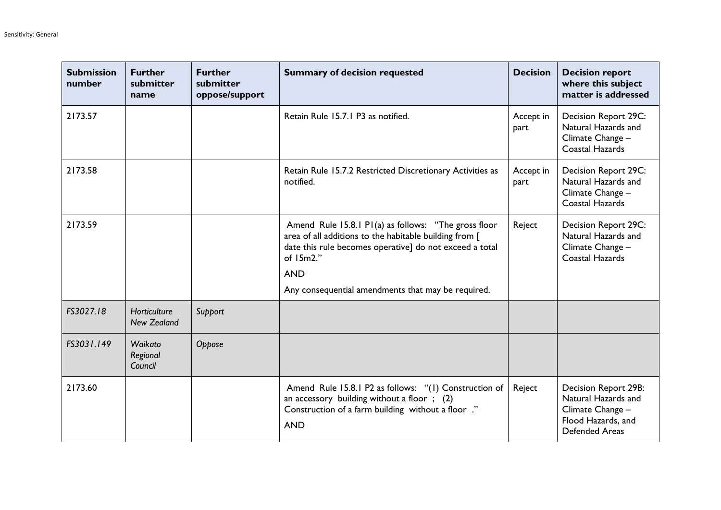| <b>Submission</b><br>number | <b>Further</b><br>submitter<br>name | <b>Further</b><br>submitter<br>oppose/support | <b>Summary of decision requested</b>                                                                                                                                                                                                                         | <b>Decision</b>   | <b>Decision report</b><br>where this subject<br>matter is addressed                                            |
|-----------------------------|-------------------------------------|-----------------------------------------------|--------------------------------------------------------------------------------------------------------------------------------------------------------------------------------------------------------------------------------------------------------------|-------------------|----------------------------------------------------------------------------------------------------------------|
| 2173.57                     |                                     |                                               | Retain Rule 15.7.1 P3 as notified.                                                                                                                                                                                                                           | Accept in<br>part | Decision Report 29C:<br>Natural Hazards and<br>Climate Change -<br>Coastal Hazards                             |
| 2173.58                     |                                     |                                               | Retain Rule 15.7.2 Restricted Discretionary Activities as<br>notified.                                                                                                                                                                                       | Accept in<br>part | Decision Report 29C:<br>Natural Hazards and<br>Climate Change -<br>Coastal Hazards                             |
| 2173.59                     |                                     |                                               | Amend Rule 15.8.1 P1(a) as follows: "The gross floor<br>area of all additions to the habitable building from [<br>date this rule becomes operative] do not exceed a total<br>of $15m2."$<br><b>AND</b><br>Any consequential amendments that may be required. | Reject            | Decision Report 29C:<br>Natural Hazards and<br>Climate Change -<br>Coastal Hazards                             |
| FS3027.18                   | Horticulture<br><b>New Zealand</b>  | Support                                       |                                                                                                                                                                                                                                                              |                   |                                                                                                                |
| FS3031.149                  | Waikato<br>Regional<br>Council      | Oppose                                        |                                                                                                                                                                                                                                                              |                   |                                                                                                                |
| 2173.60                     |                                     |                                               | Amend Rule 15.8.1 P2 as follows: "(1) Construction of<br>an accessory building without a floor $\,$ ; (2)<br>Construction of a farm building without a floor ."<br><b>AND</b>                                                                                | Reject            | Decision Report 29B:<br>Natural Hazards and<br>Climate Change -<br>Flood Hazards, and<br><b>Defended Areas</b> |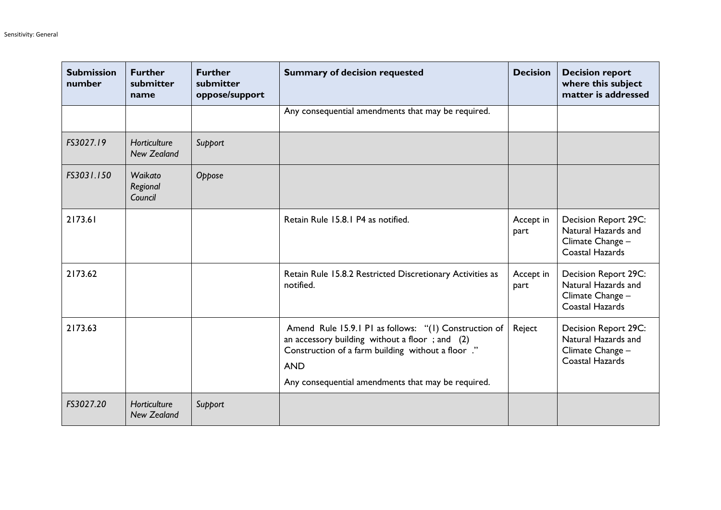| <b>Submission</b><br>number | <b>Further</b><br>submitter<br>name | <b>Further</b><br>submitter<br>oppose/support | <b>Summary of decision requested</b>                                                                                                                                                                                              | <b>Decision</b>   | <b>Decision report</b><br>where this subject<br>matter is addressed                |
|-----------------------------|-------------------------------------|-----------------------------------------------|-----------------------------------------------------------------------------------------------------------------------------------------------------------------------------------------------------------------------------------|-------------------|------------------------------------------------------------------------------------|
|                             |                                     |                                               | Any consequential amendments that may be required.                                                                                                                                                                                |                   |                                                                                    |
| FS3027.19                   | Horticulture<br><b>New Zealand</b>  | Support                                       |                                                                                                                                                                                                                                   |                   |                                                                                    |
| FS3031.150                  | Waikato<br>Regional<br>Council      | Oppose                                        |                                                                                                                                                                                                                                   |                   |                                                                                    |
| 2173.61                     |                                     |                                               | Retain Rule 15.8.1 P4 as notified.                                                                                                                                                                                                | Accept in<br>part | Decision Report 29C:<br>Natural Hazards and<br>Climate Change -<br>Coastal Hazards |
| 2173.62                     |                                     |                                               | Retain Rule 15.8.2 Restricted Discretionary Activities as<br>notified.                                                                                                                                                            | Accept in<br>part | Decision Report 29C:<br>Natural Hazards and<br>Climate Change -<br>Coastal Hazards |
| 2173.63                     |                                     |                                               | Amend Rule 15.9.1 P1 as follows: "(1) Construction of<br>an accessory building without a floor; and (2)<br>Construction of a farm building without a floor ."<br><b>AND</b><br>Any consequential amendments that may be required. | Reject            | Decision Report 29C:<br>Natural Hazards and<br>Climate Change -<br>Coastal Hazards |
| FS3027.20                   | Horticulture<br><b>New Zealand</b>  | Support                                       |                                                                                                                                                                                                                                   |                   |                                                                                    |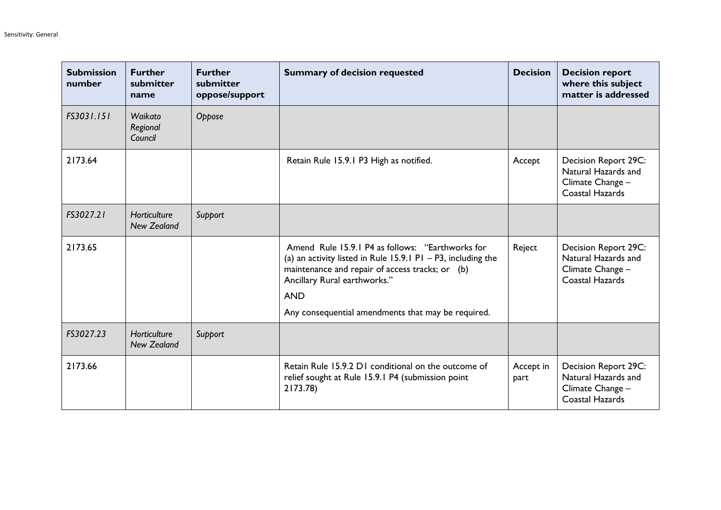| <b>Submission</b><br>number | <b>Further</b><br>submitter<br>name | <b>Further</b><br>submitter<br>oppose/support | <b>Summary of decision requested</b>                                                                                                                                                                                                                                    | <b>Decision</b>   | <b>Decision report</b><br>where this subject<br>matter is addressed                |
|-----------------------------|-------------------------------------|-----------------------------------------------|-------------------------------------------------------------------------------------------------------------------------------------------------------------------------------------------------------------------------------------------------------------------------|-------------------|------------------------------------------------------------------------------------|
| FS3031.151                  | Waikato<br>Regional<br>Council      | Oppose                                        |                                                                                                                                                                                                                                                                         |                   |                                                                                    |
| 2173.64                     |                                     |                                               | Retain Rule 15.9.1 P3 High as notified.                                                                                                                                                                                                                                 | Accept            | Decision Report 29C:<br>Natural Hazards and<br>Climate Change -<br>Coastal Hazards |
| FS3027.21                   | Horticulture<br>New Zealand         | Support                                       |                                                                                                                                                                                                                                                                         |                   |                                                                                    |
| 2173.65                     |                                     |                                               | Amend Rule 15.9.1 P4 as follows: "Earthworks for<br>(a) an activity listed in Rule 15.9.1 P1 - P3, including the<br>maintenance and repair of access tracks; or (b)<br>Ancillary Rural earthworks."<br><b>AND</b><br>Any consequential amendments that may be required. | Reject            | Decision Report 29C:<br>Natural Hazards and<br>Climate Change -<br>Coastal Hazards |
| FS3027.23                   | Horticulture<br><b>New Zealand</b>  | Support                                       |                                                                                                                                                                                                                                                                         |                   |                                                                                    |
| 2173.66                     |                                     |                                               | Retain Rule 15.9.2 D1 conditional on the outcome of<br>relief sought at Rule 15.9.1 P4 (submission point<br>2173.78)                                                                                                                                                    | Accept in<br>part | Decision Report 29C:<br>Natural Hazards and<br>Climate Change -<br>Coastal Hazards |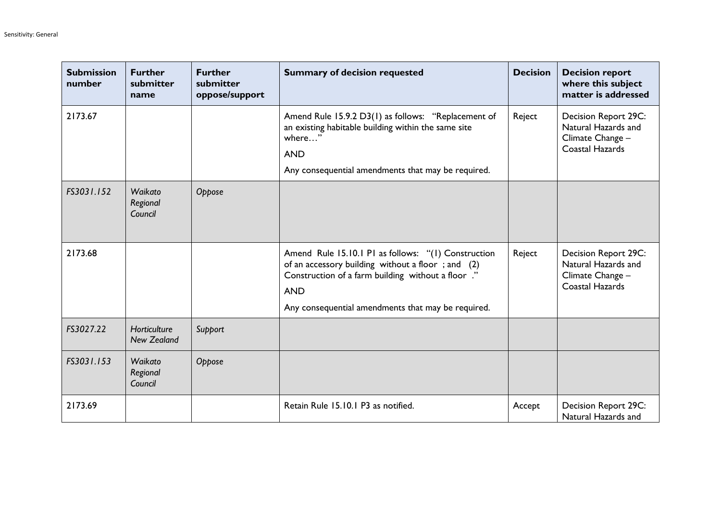| <b>Submission</b><br>number | <b>Further</b><br>submitter<br>name       | <b>Further</b><br>submitter<br>oppose/support | <b>Summary of decision requested</b>                                                                                                                                                                                               | <b>Decision</b> | <b>Decision report</b><br>where this subject<br>matter is addressed                |
|-----------------------------|-------------------------------------------|-----------------------------------------------|------------------------------------------------------------------------------------------------------------------------------------------------------------------------------------------------------------------------------------|-----------------|------------------------------------------------------------------------------------|
| 2173.67                     |                                           |                                               | Amend Rule 15.9.2 D3(1) as follows: "Replacement of<br>an existing habitable building within the same site<br>where"<br><b>AND</b><br>Any consequential amendments that may be required.                                           | Reject          | Decision Report 29C:<br>Natural Hazards and<br>Climate Change -<br>Coastal Hazards |
| FS3031.152                  | Waikato<br>Regional<br>Council            | Oppose                                        |                                                                                                                                                                                                                                    |                 |                                                                                    |
| 2173.68                     |                                           |                                               | Amend Rule 15.10.1 P1 as follows: "(1) Construction<br>of an accessory building without a floor; and (2)<br>Construction of a farm building without a floor ."<br><b>AND</b><br>Any consequential amendments that may be required. | Reject          | Decision Report 29C:<br>Natural Hazards and<br>Climate Change -<br>Coastal Hazards |
| FS3027.22                   | <b>Horticulture</b><br><b>New Zealand</b> | Support                                       |                                                                                                                                                                                                                                    |                 |                                                                                    |
| FS3031.153                  | Waikato<br>Regional<br>Council            | Oppose                                        |                                                                                                                                                                                                                                    |                 |                                                                                    |
| 2173.69                     |                                           |                                               | Retain Rule 15.10.1 P3 as notified.                                                                                                                                                                                                | Accept          | Decision Report 29C:<br>Natural Hazards and                                        |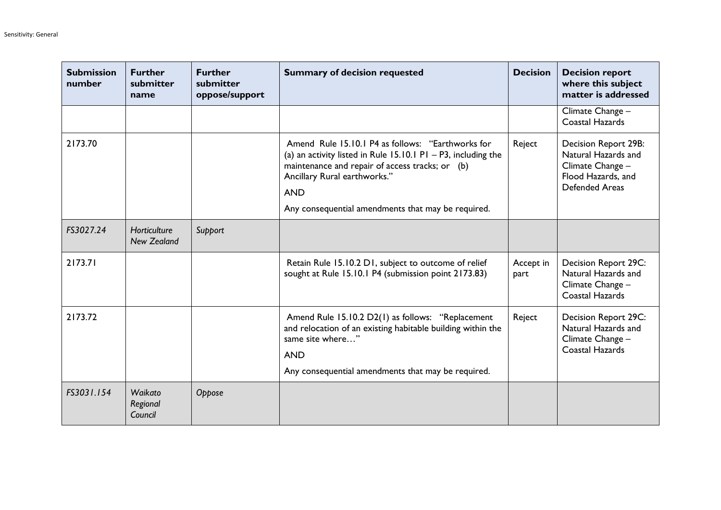| <b>Submission</b><br>number | <b>Further</b><br>submitter<br>name | <b>Further</b><br>submitter<br>oppose/support | <b>Summary of decision requested</b>                                                                                                                                                                                                                                      | <b>Decision</b>   | <b>Decision report</b><br>where this subject<br>matter is addressed                                     |
|-----------------------------|-------------------------------------|-----------------------------------------------|---------------------------------------------------------------------------------------------------------------------------------------------------------------------------------------------------------------------------------------------------------------------------|-------------------|---------------------------------------------------------------------------------------------------------|
|                             |                                     |                                               |                                                                                                                                                                                                                                                                           |                   | Climate Change -<br>Coastal Hazards                                                                     |
| 2173.70                     |                                     |                                               | Amend Rule 15.10.1 P4 as follows: "Earthworks for<br>(a) an activity listed in Rule 15.10.1 P1 - P3, including the<br>maintenance and repair of access tracks; or (b)<br>Ancillary Rural earthworks."<br><b>AND</b><br>Any consequential amendments that may be required. | Reject            | Decision Report 29B:<br>Natural Hazards and<br>Climate Change -<br>Flood Hazards, and<br>Defended Areas |
| FS3027.24                   | Horticulture<br><b>New Zealand</b>  | Support                                       |                                                                                                                                                                                                                                                                           |                   |                                                                                                         |
| 2173.71                     |                                     |                                               | Retain Rule 15.10.2 D1, subject to outcome of relief<br>sought at Rule 15.10.1 P4 (submission point 2173.83)                                                                                                                                                              | Accept in<br>part | Decision Report 29C:<br>Natural Hazards and<br>Climate Change -<br>Coastal Hazards                      |
| 2173.72                     |                                     |                                               | Amend Rule 15.10.2 D2(1) as follows: "Replacement<br>and relocation of an existing habitable building within the<br>same site where"<br><b>AND</b><br>Any consequential amendments that may be required.                                                                  | Reject            | Decision Report 29C:<br>Natural Hazards and<br>Climate Change -<br>Coastal Hazards                      |
| FS3031.154                  | Waikato<br>Regional<br>Council      | Oppose                                        |                                                                                                                                                                                                                                                                           |                   |                                                                                                         |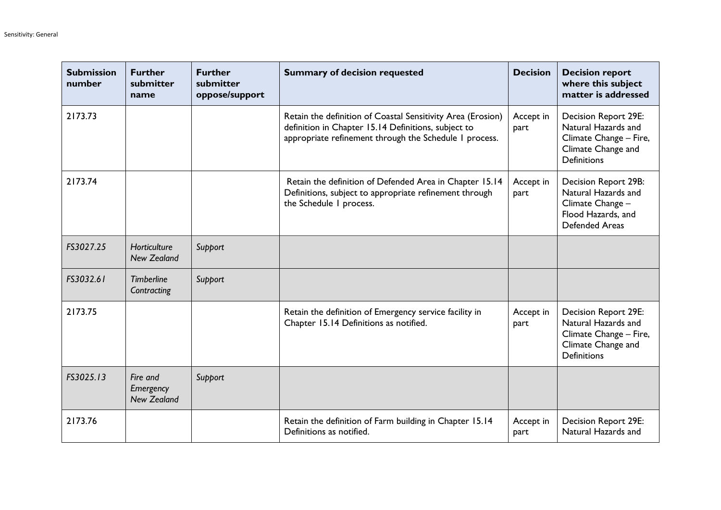| <b>Submission</b><br>number | <b>Further</b><br>submitter<br>name         | <b>Further</b><br>submitter<br>oppose/support | <b>Summary of decision requested</b>                                                                                                                                         | <b>Decision</b>   | <b>Decision report</b><br>where this subject<br>matter is addressed                                                      |
|-----------------------------|---------------------------------------------|-----------------------------------------------|------------------------------------------------------------------------------------------------------------------------------------------------------------------------------|-------------------|--------------------------------------------------------------------------------------------------------------------------|
| 2173.73                     |                                             |                                               | Retain the definition of Coastal Sensitivity Area (Erosion)<br>definition in Chapter 15.14 Definitions, subject to<br>appropriate refinement through the Schedule I process. | Accept in<br>part | Decision Report 29E:<br>Natural Hazards and<br>Climate Change - Fire,<br>Climate Change and<br><b>Definitions</b>        |
| 2173.74                     |                                             |                                               | Retain the definition of Defended Area in Chapter 15.14<br>Definitions, subject to appropriate refinement through<br>the Schedule I process.                                 | Accept in<br>part | Decision Report 29B:<br>Natural Hazards and<br>Climate Change -<br>Flood Hazards, and<br><b>Defended Areas</b>           |
| FS3027.25                   | Horticulture<br><b>New Zealand</b>          | Support                                       |                                                                                                                                                                              |                   |                                                                                                                          |
| FS3032.61                   | <b>Timberline</b><br>Contracting            | Support                                       |                                                                                                                                                                              |                   |                                                                                                                          |
| 2173.75                     |                                             |                                               | Retain the definition of Emergency service facility in<br>Chapter 15.14 Definitions as notified.                                                                             | Accept in<br>part | <b>Decision Report 29E:</b><br>Natural Hazards and<br>Climate Change - Fire,<br>Climate Change and<br><b>Definitions</b> |
| FS3025.13                   | Fire and<br>Emergency<br><b>New Zealand</b> | Support                                       |                                                                                                                                                                              |                   |                                                                                                                          |
| 2173.76                     |                                             |                                               | Retain the definition of Farm building in Chapter 15.14<br>Definitions as notified.                                                                                          | Accept in<br>part | <b>Decision Report 29E:</b><br>Natural Hazards and                                                                       |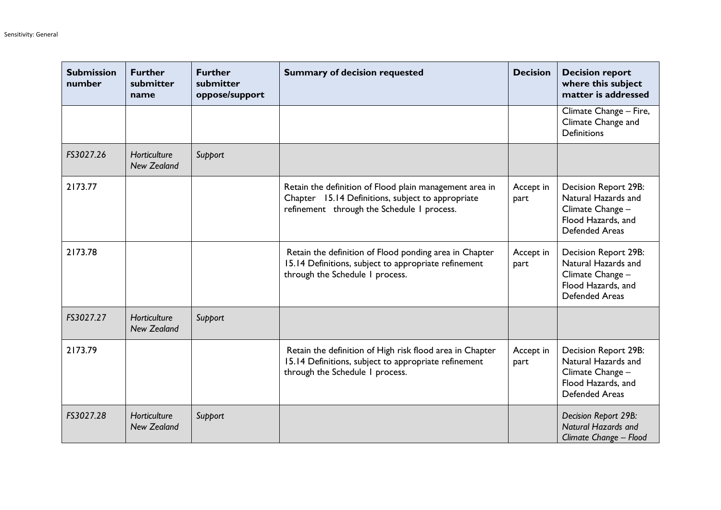| <b>Submission</b><br>number | <b>Further</b><br>submitter<br>name | <b>Further</b><br>submitter<br>oppose/support | <b>Summary of decision requested</b>                                                                                                                       | <b>Decision</b>   | <b>Decision report</b><br>where this subject<br>matter is addressed                                                   |
|-----------------------------|-------------------------------------|-----------------------------------------------|------------------------------------------------------------------------------------------------------------------------------------------------------------|-------------------|-----------------------------------------------------------------------------------------------------------------------|
|                             |                                     |                                               |                                                                                                                                                            |                   | Climate Change - Fire,<br>Climate Change and<br><b>Definitions</b>                                                    |
| FS3027.26                   | Horticulture<br><b>New Zealand</b>  | Support                                       |                                                                                                                                                            |                   |                                                                                                                       |
| 2173.77                     |                                     |                                               | Retain the definition of Flood plain management area in<br>Chapter 15.14 Definitions, subject to appropriate<br>refinement through the Schedule I process. | Accept in<br>part | Decision Report 29B:<br>Natural Hazards and<br>Climate Change -<br>Flood Hazards, and<br>Defended Areas               |
| 2173.78                     |                                     |                                               | Retain the definition of Flood ponding area in Chapter<br>15.14 Definitions, subject to appropriate refinement<br>through the Schedule I process.          | Accept in<br>part | <b>Decision Report 29B:</b><br>Natural Hazards and<br>Climate Change -<br>Flood Hazards, and<br><b>Defended Areas</b> |
| FS3027.27                   | Horticulture<br><b>New Zealand</b>  | Support                                       |                                                                                                                                                            |                   |                                                                                                                       |
| 2173.79                     |                                     |                                               | Retain the definition of High risk flood area in Chapter<br>15.14 Definitions, subject to appropriate refinement<br>through the Schedule I process.        | Accept in<br>part | Decision Report 29B:<br>Natural Hazards and<br>Climate Change -<br>Flood Hazards, and<br><b>Defended Areas</b>        |
| FS3027.28                   | Horticulture<br><b>New Zealand</b>  | Support                                       |                                                                                                                                                            |                   | Decision Report 29B:<br><b>Natural Hazards and</b><br>Climate Change - Flood                                          |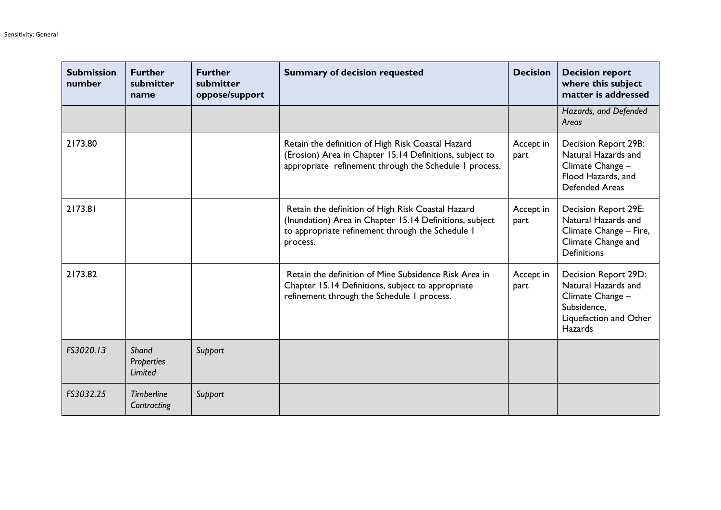| <b>Submission</b><br>number | <b>Further</b><br>submitter<br>name   | <b>Further</b><br>submitter<br>oppose/support | <b>Summary of decision requested</b>                                                                                                                                         | <b>Decision</b>   | <b>Decision report</b><br>where this subject<br>matter is addressed                                                        |
|-----------------------------|---------------------------------------|-----------------------------------------------|------------------------------------------------------------------------------------------------------------------------------------------------------------------------------|-------------------|----------------------------------------------------------------------------------------------------------------------------|
|                             |                                       |                                               |                                                                                                                                                                              |                   | Hazards, and Defended<br>Areas                                                                                             |
| 2173.80                     |                                       |                                               | Retain the definition of High Risk Coastal Hazard<br>(Erosion) Area in Chapter 15.14 Definitions, subject to<br>appropriate refinement through the Schedule I process.       | Accept in<br>part | Decision Report 29B:<br>Natural Hazards and<br>Climate Change -<br>Flood Hazards, and<br><b>Defended Areas</b>             |
| 2173.81                     |                                       |                                               | Retain the definition of High Risk Coastal Hazard<br>(Inundation) Area in Chapter 15.14 Definitions, subject<br>to appropriate refinement through the Schedule I<br>process. | Accept in<br>part | Decision Report 29E:<br>Natural Hazards and<br>Climate Change - Fire,<br>Climate Change and<br><b>Definitions</b>          |
| 2173.82                     |                                       |                                               | Retain the definition of Mine Subsidence Risk Area in<br>Chapter 15.14 Definitions, subject to appropriate<br>refinement through the Schedule I process.                     | Accept in<br>part | Decision Report 29D:<br>Natural Hazards and<br>Climate Change -<br>Subsidence,<br>Liquefaction and Other<br><b>Hazards</b> |
| FS3020.13                   | Shand<br><b>Properties</b><br>Limited | Support                                       |                                                                                                                                                                              |                   |                                                                                                                            |
| FS3032.25                   | <b>Timberline</b><br>Contracting      | Support                                       |                                                                                                                                                                              |                   |                                                                                                                            |